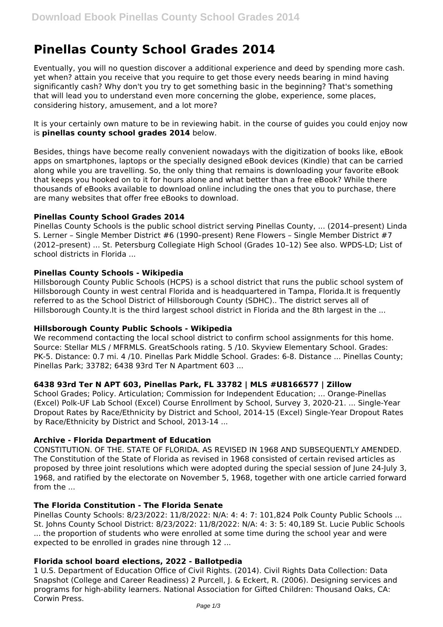# **Pinellas County School Grades 2014**

Eventually, you will no question discover a additional experience and deed by spending more cash. yet when? attain you receive that you require to get those every needs bearing in mind having significantly cash? Why don't you try to get something basic in the beginning? That's something that will lead you to understand even more concerning the globe, experience, some places, considering history, amusement, and a lot more?

It is your certainly own mature to be in reviewing habit. in the course of guides you could enjoy now is **pinellas county school grades 2014** below.

Besides, things have become really convenient nowadays with the digitization of books like, eBook apps on smartphones, laptops or the specially designed eBook devices (Kindle) that can be carried along while you are travelling. So, the only thing that remains is downloading your favorite eBook that keeps you hooked on to it for hours alone and what better than a free eBook? While there thousands of eBooks available to download online including the ones that you to purchase, there are many websites that offer free eBooks to download.

## **Pinellas County School Grades 2014**

Pinellas County Schools is the public school district serving Pinellas County, ... (2014–present) Linda S. Lerner – Single Member District #6 (1990–present) Rene Flowers – Single Member District #7 (2012–present) ... St. Petersburg Collegiate High School (Grades 10–12) See also. WPDS-LD; List of school districts in Florida ...

## **Pinellas County Schools - Wikipedia**

Hillsborough County Public Schools (HCPS) is a school district that runs the public school system of Hillsborough County in west central Florida and is headquartered in Tampa, Florida.It is frequently referred to as the School District of Hillsborough County (SDHC).. The district serves all of Hillsborough County.It is the third largest school district in Florida and the 8th largest in the ...

## **Hillsborough County Public Schools - Wikipedia**

We recommend contacting the local school district to confirm school assignments for this home. Source: Stellar MLS / MFRMLS. GreatSchools rating. 5 /10. Skyview Elementary School. Grades: PK-5. Distance: 0.7 mi. 4 /10. Pinellas Park Middle School. Grades: 6-8. Distance ... Pinellas County; Pinellas Park; 33782; 6438 93rd Ter N Apartment 603 ...

## **6438 93rd Ter N APT 603, Pinellas Park, FL 33782 | MLS #U8166577 | Zillow**

School Grades; Policy. Articulation; Commission for Independent Education; ... Orange-Pinellas (Excel) Polk-UF Lab School (Excel) Course Enrollment by School, Survey 3, 2020-21. ... Single-Year Dropout Rates by Race/Ethnicity by District and School, 2014-15 (Excel) Single-Year Dropout Rates by Race/Ethnicity by District and School, 2013-14 ...

## **Archive - Florida Department of Education**

CONSTITUTION. OF THE. STATE OF FLORIDA. AS REVISED IN 1968 AND SUBSEQUENTLY AMENDED. The Constitution of the State of Florida as revised in 1968 consisted of certain revised articles as proposed by three joint resolutions which were adopted during the special session of June 24-July 3, 1968, and ratified by the electorate on November 5, 1968, together with one article carried forward from the ...

## **The Florida Constitution - The Florida Senate**

Pinellas County Schools: 8/23/2022: 11/8/2022: N/A: 4: 4: 7: 101,824 Polk County Public Schools ... St. Johns County School District: 8/23/2022: 11/8/2022: N/A: 4: 3: 5: 40,189 St. Lucie Public Schools ... the proportion of students who were enrolled at some time during the school year and were expected to be enrolled in grades nine through 12 ...

## **Florida school board elections, 2022 - Ballotpedia**

1 U.S. Department of Education Office of Civil Rights. (2014). Civil Rights Data Collection: Data Snapshot (College and Career Readiness) 2 Purcell, J. & Eckert, R. (2006). Designing services and programs for high-ability learners. National Association for Gifted Children: Thousand Oaks, CA: Corwin Press.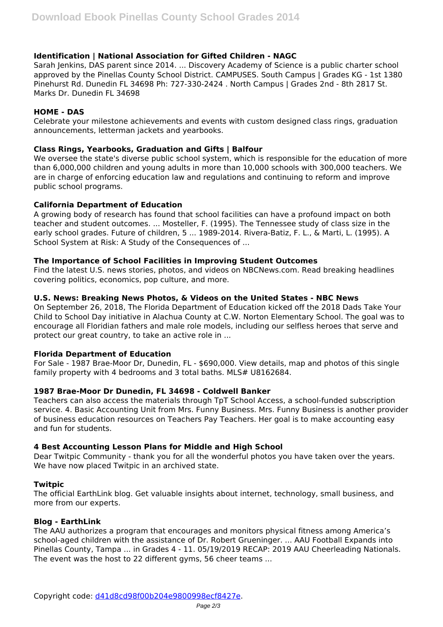## **Identification | National Association for Gifted Children - NAGC**

Sarah Jenkins, DAS parent since 2014. ... Discovery Academy of Science is a public charter school approved by the Pinellas County School District. CAMPUSES. South Campus | Grades KG - 1st 1380 Pinehurst Rd. Dunedin FL 34698 Ph: 727-330-2424 . North Campus | Grades 2nd - 8th 2817 St. Marks Dr. Dunedin FL 34698

## **HOME - DAS**

Celebrate your milestone achievements and events with custom designed class rings, graduation announcements, letterman jackets and yearbooks.

## **Class Rings, Yearbooks, Graduation and Gifts | Balfour**

We oversee the state's diverse public school system, which is responsible for the education of more than 6,000,000 children and young adults in more than 10,000 schools with 300,000 teachers. We are in charge of enforcing education law and regulations and continuing to reform and improve public school programs.

## **California Department of Education**

A growing body of research has found that school facilities can have a profound impact on both teacher and student outcomes. ... Mosteller, F. (1995). The Tennessee study of class size in the early school grades. Future of children, 5 ... 1989-2014. Rivera-Batiz, F. L., & Marti, L. (1995). A School System at Risk: A Study of the Consequences of ...

## **The Importance of School Facilities in Improving Student Outcomes**

Find the latest U.S. news stories, photos, and videos on NBCNews.com. Read breaking headlines covering politics, economics, pop culture, and more.

## **U.S. News: Breaking News Photos, & Videos on the United States - NBC News**

On September 26, 2018, The Florida Department of Education kicked off the 2018 Dads Take Your Child to School Day initiative in Alachua County at C.W. Norton Elementary School. The goal was to encourage all Floridian fathers and male role models, including our selfless heroes that serve and protect our great country, to take an active role in ...

## **Florida Department of Education**

For Sale - 1987 Brae-Moor Dr, Dunedin, FL - \$690,000. View details, map and photos of this single family property with 4 bedrooms and 3 total baths. MLS# U8162684.

## **1987 Brae-Moor Dr Dunedin, FL 34698 - Coldwell Banker**

Teachers can also access the materials through TpT School Access, a school-funded subscription service. 4. Basic Accounting Unit from Mrs. Funny Business. Mrs. Funny Business is another provider of business education resources on Teachers Pay Teachers. Her goal is to make accounting easy and fun for students.

## **4 Best Accounting Lesson Plans for Middle and High School**

Dear Twitpic Community - thank you for all the wonderful photos you have taken over the years. We have now placed Twitpic in an archived state.

## **Twitpic**

The official EarthLink blog. Get valuable insights about internet, technology, small business, and more from our experts.

## **Blog - EarthLink**

The AAU authorizes a program that encourages and monitors physical fitness among America's school-aged children with the assistance of Dr. Robert Grueninger. ... AAU Football Expands into Pinellas County, Tampa ... in Grades 4 - 11. 05/19/2019 RECAP: 2019 AAU Cheerleading Nationals. The event was the host to 22 different gyms, 56 cheer teams ...